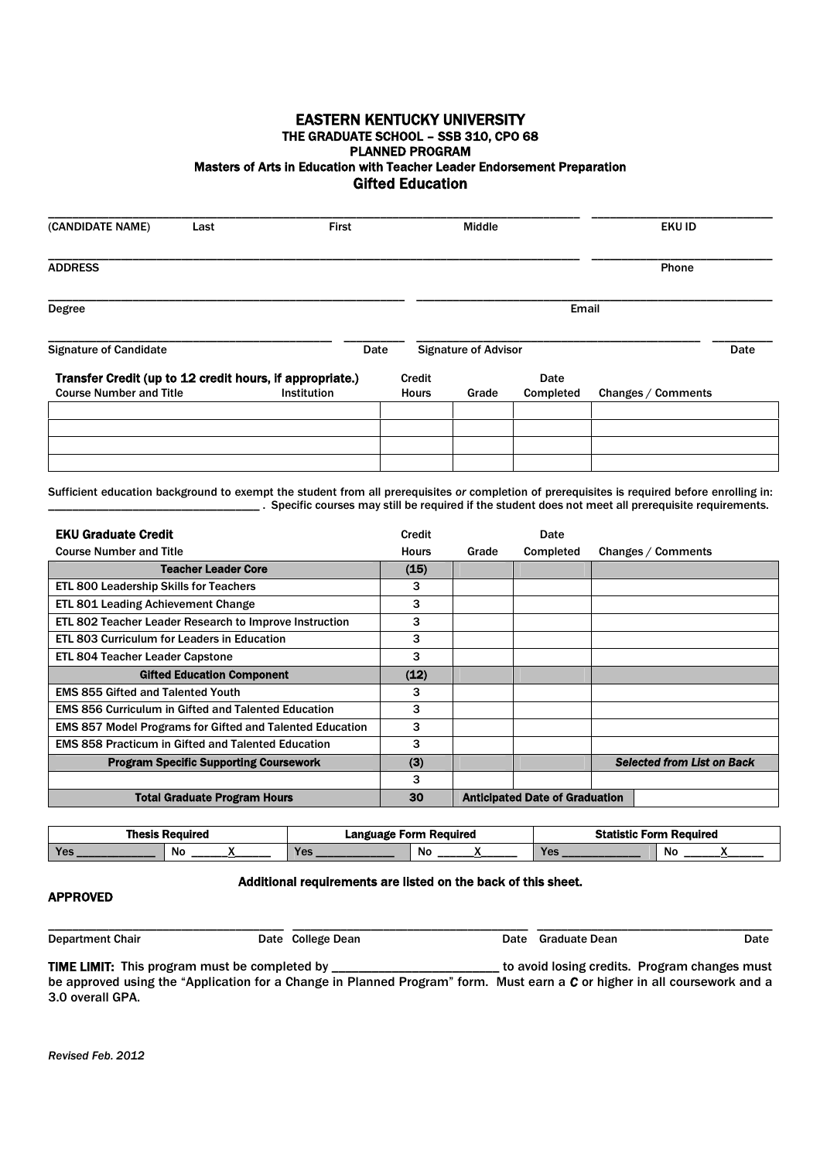## EASTERN KENTUCKY UNIVERSITY THE GRADUATE SCHOOL – SSB 310, CPO 68 PLANNED PROGRAM Masters of Arts in Education with Teacher Leader Endorsement Preparation Gifted Education

| (CANDIDATE NAME)                                         | Last | <b>First</b>       |              | Middle                      |           | <b>EKU ID</b>      |      |
|----------------------------------------------------------|------|--------------------|--------------|-----------------------------|-----------|--------------------|------|
| <b>ADDRESS</b>                                           |      |                    |              |                             |           | Phone              |      |
| Degree                                                   |      |                    |              |                             | Email     |                    |      |
| <b>Signature of Candidate</b>                            |      | Date               |              | <b>Signature of Advisor</b> |           |                    | Date |
| Transfer Credit (up to 12 credit hours, if appropriate.) |      |                    | Credit       |                             | Date      |                    |      |
| <b>Course Number and Title</b>                           |      | <b>Institution</b> | <b>Hours</b> | Grade                       | Completed | Changes / Comments |      |
|                                                          |      |                    |              |                             |           |                    |      |
|                                                          |      |                    |              |                             |           |                    |      |
|                                                          |      |                    |              |                             |           |                    |      |
|                                                          |      |                    |              |                             |           |                    |      |

Sufficient education background to exempt the student from all prerequisites *or* completion of prerequisites is required before enrolling in: \_\_\_\_\_\_\_\_\_\_\_\_\_\_\_\_\_\_\_\_\_\_\_\_\_\_\_\_\_\_\_\_\_\_\_ . Specific courses may still be required if the student does not meet all prerequisite requirements.

| <b>EKU Graduate Credit</b>                                      | <b>Credit</b> |       | Date                                  |                                   |
|-----------------------------------------------------------------|---------------|-------|---------------------------------------|-----------------------------------|
| <b>Course Number and Title</b>                                  | <b>Hours</b>  | Grade | Completed                             | Changes / Comments                |
| <b>Teacher Leader Core</b>                                      |               |       |                                       |                                   |
| ETL 800 Leadership Skills for Teachers                          | 3             |       |                                       |                                   |
| ETL 801 Leading Achievement Change                              | 3             |       |                                       |                                   |
| ETL 802 Teacher Leader Research to Improve Instruction          | 3             |       |                                       |                                   |
| ETL 803 Curriculum for Leaders in Education                     | 3             |       |                                       |                                   |
| <b>ETL 804 Teacher Leader Capstone</b>                          | 3             |       |                                       |                                   |
| <b>Gifted Education Component</b>                               | (12)          |       |                                       |                                   |
| <b>EMS 855 Gifted and Talented Youth</b>                        | 3             |       |                                       |                                   |
| <b>EMS 856 Curriculum in Gifted and Talented Education</b>      | 3             |       |                                       |                                   |
| <b>EMS 857 Model Programs for Gifted and Talented Education</b> | 3             |       |                                       |                                   |
| <b>EMS 858 Practicum in Gifted and Talented Education</b>       | 3             |       |                                       |                                   |
| <b>Program Specific Supporting Coursework</b>                   | (3)           |       |                                       | <b>Selected from List on Back</b> |
|                                                                 | 3             |       |                                       |                                   |
| <b>Total Graduate Program Hours</b>                             | 30            |       | <b>Anticipated Date of Graduation</b> |                                   |

| Thesis Reauired |     |  | Language Form Required |     |  | <b>Statistic Form Required</b> |     |  |
|-----------------|-----|--|------------------------|-----|--|--------------------------------|-----|--|
|                 | .No |  | Yes                    | .No |  | $T_{\text{QCD}}$<br>I GS       | .No |  |

## Additional requirements are listed on the back of this sheet.

## APPROVED

| <b>Department Chair</b>                                                                                        | Date College Dean | Date Graduate Dean | Date                                                                                                            |
|----------------------------------------------------------------------------------------------------------------|-------------------|--------------------|-----------------------------------------------------------------------------------------------------------------|
| - RESIDENCE IN INVESTIGATION CONTINUES INTO A CONTINUES INTO A RESIDENCE INTO A RESIDENCE INTO A RESIDENCE INT |                   |                    | the control of the state of the state of the control of the state of the state of the state of the state of the |

TIME LIMIT: This program must be completed by \_\_\_\_\_\_\_\_\_\_\_\_\_\_\_\_\_\_\_\_\_\_\_\_\_\_\_\_ to avoid losing credits. Program changes must be approved using the "Application for a Change in Planned Program" form. Must earn a *C* or higher in all coursework and a 3.0 overall GPA.